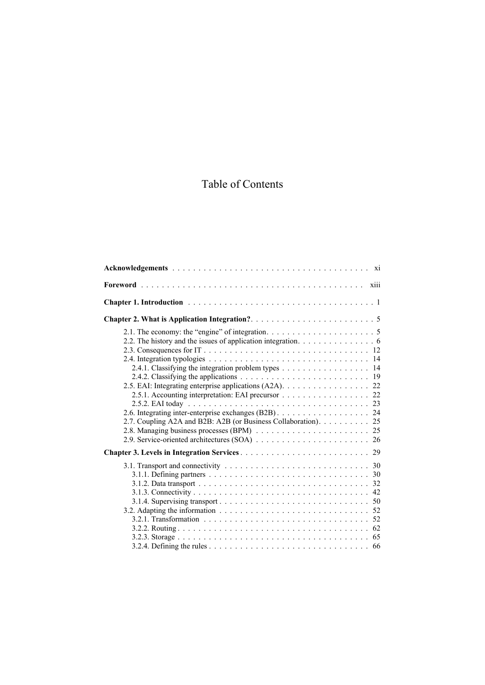## Table of Contents

| 2.2. The history and the issues of application integration. 6<br>2.4.1. Classifying the integration problem types 14<br>2.5. EAI: Integrating enterprise applications (A2A). 22<br>2.5.1. Accounting interpretation: EAI precursor 22<br>2.6. Integrating inter-enterprise exchanges (B2B) 24<br>2.7. Coupling A2A and B2B: A2B (or Business Collaboration). 25 |
|-----------------------------------------------------------------------------------------------------------------------------------------------------------------------------------------------------------------------------------------------------------------------------------------------------------------------------------------------------------------|
|                                                                                                                                                                                                                                                                                                                                                                 |
| 3.2. Adapting the information $\ldots \ldots \ldots \ldots \ldots \ldots \ldots \ldots \ldots \ldots 52$                                                                                                                                                                                                                                                        |
|                                                                                                                                                                                                                                                                                                                                                                 |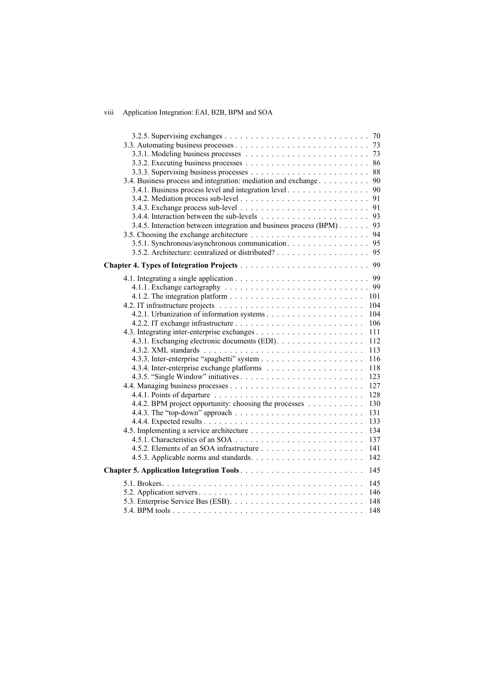## viii Application Integration: EAI, B2B, BPM and SOA

| 3.4. Business process and integration: mediation and exchange     | 90  |
|-------------------------------------------------------------------|-----|
| 3.4.1. Business process level and integration level               | 90  |
|                                                                   |     |
|                                                                   |     |
|                                                                   | 93  |
| 3.4.5. Interaction between integration and business process (BPM) | 93  |
|                                                                   |     |
| 3.5.1. Synchronous/asynchronous communication. 95                 |     |
|                                                                   | 95  |
|                                                                   |     |
|                                                                   |     |
|                                                                   |     |
|                                                                   | 99  |
|                                                                   | 101 |
|                                                                   | 104 |
|                                                                   | 104 |
|                                                                   | 106 |
|                                                                   | 111 |
| 4.3.1. Exchanging electronic documents (EDI).                     | 112 |
|                                                                   | 113 |
|                                                                   | 116 |
|                                                                   | 118 |
|                                                                   | 123 |
|                                                                   | 127 |
|                                                                   | 128 |
| 4.4.2. BPM project opportunity: choosing the processes            | 130 |
|                                                                   | 131 |
|                                                                   | 133 |
|                                                                   | 134 |
|                                                                   | 137 |
|                                                                   | 141 |
|                                                                   | 142 |
|                                                                   |     |
|                                                                   | 145 |
|                                                                   | 145 |
|                                                                   | 146 |
|                                                                   | 148 |
|                                                                   | 148 |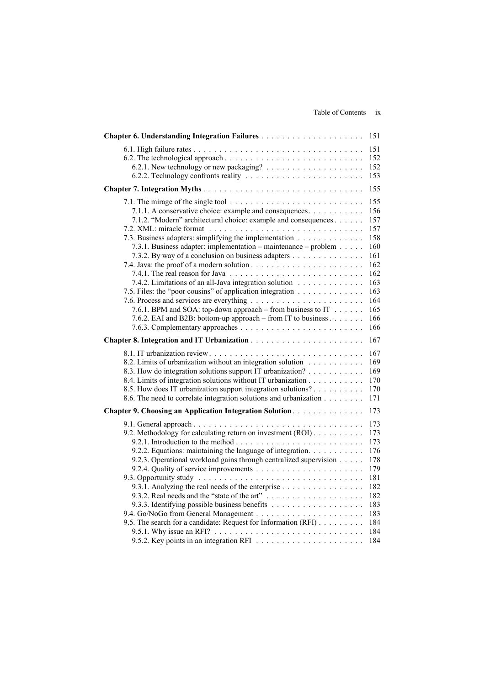|                                                                                                                                                                                                                                                                                                                                                                                                                                                                                                                                                                                                                                                                                     | 151                                                                                                   |
|-------------------------------------------------------------------------------------------------------------------------------------------------------------------------------------------------------------------------------------------------------------------------------------------------------------------------------------------------------------------------------------------------------------------------------------------------------------------------------------------------------------------------------------------------------------------------------------------------------------------------------------------------------------------------------------|-------------------------------------------------------------------------------------------------------|
|                                                                                                                                                                                                                                                                                                                                                                                                                                                                                                                                                                                                                                                                                     | 151<br>152<br>152<br>153                                                                              |
|                                                                                                                                                                                                                                                                                                                                                                                                                                                                                                                                                                                                                                                                                     | 155                                                                                                   |
| 7.1. The mirage of the single tool $\ldots \ldots \ldots \ldots \ldots \ldots \ldots \ldots \ldots$<br>7.1.1. A conservative choice: example and consequences.<br>7.1.2. "Modern" architectural choice: example and consequences<br>7.3. Business adapters: simplifying the implementation<br>7.3.1. Business adapter: implementation – maintenance – problem<br>7.3.2. By way of a conclusion on business adapters<br>7.4.2. Limitations of an all-Java integration solution<br>7.5. Files: the "poor cousins" of application integration<br>7.6.1. BPM and SOA: top-down approach – from business to IT $\dots$ .<br>7.6.2. EAI and B2B: bottom-up approach – from IT to business | 155<br>156<br>157<br>157<br>158<br>160<br>161<br>162<br>162<br>163<br>163<br>164<br>165<br>166<br>166 |
|                                                                                                                                                                                                                                                                                                                                                                                                                                                                                                                                                                                                                                                                                     | 167                                                                                                   |
| 8.2. Limits of urbanization without an integration solution<br>8.3. How do integration solutions support IT urbanization?<br>8.4. Limits of integration solutions without IT urbanization<br>8.5. How does IT urbanization support integration solutions?<br>8.6. The need to correlate integration solutions and urbanization                                                                                                                                                                                                                                                                                                                                                      | 167<br>169<br>169<br>170<br>170<br>171                                                                |
| Chapter 9. Choosing an Application Integration Solution.                                                                                                                                                                                                                                                                                                                                                                                                                                                                                                                                                                                                                            | 173                                                                                                   |
| 9.2. Methodology for calculating return on investment (ROI).<br>9.2.2. Equations: maintaining the language of integration.<br>9.2.3. Operational workload gains through centralized supervision<br>9.3.1. Analyzing the real needs of the enterprise<br>9.5. The search for a candidate: Request for Information (RFI)                                                                                                                                                                                                                                                                                                                                                              | 173<br>173<br>173<br>176<br>178<br>179<br>181<br>182<br>182<br>183<br>183<br>184<br>184<br>184        |
|                                                                                                                                                                                                                                                                                                                                                                                                                                                                                                                                                                                                                                                                                     |                                                                                                       |